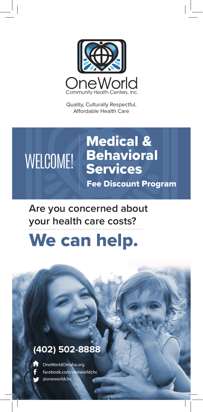

Quality, Culturally Respectful, Affordable Health Care

## Medical & WELCOME! Behavioral Fee Discount Program

**Are you concerned about your health care costs?**

## We can help.

## **(402) 502-8888**



@oneworldchc OneWorldOmaha.org facebook.com/oneworldchc